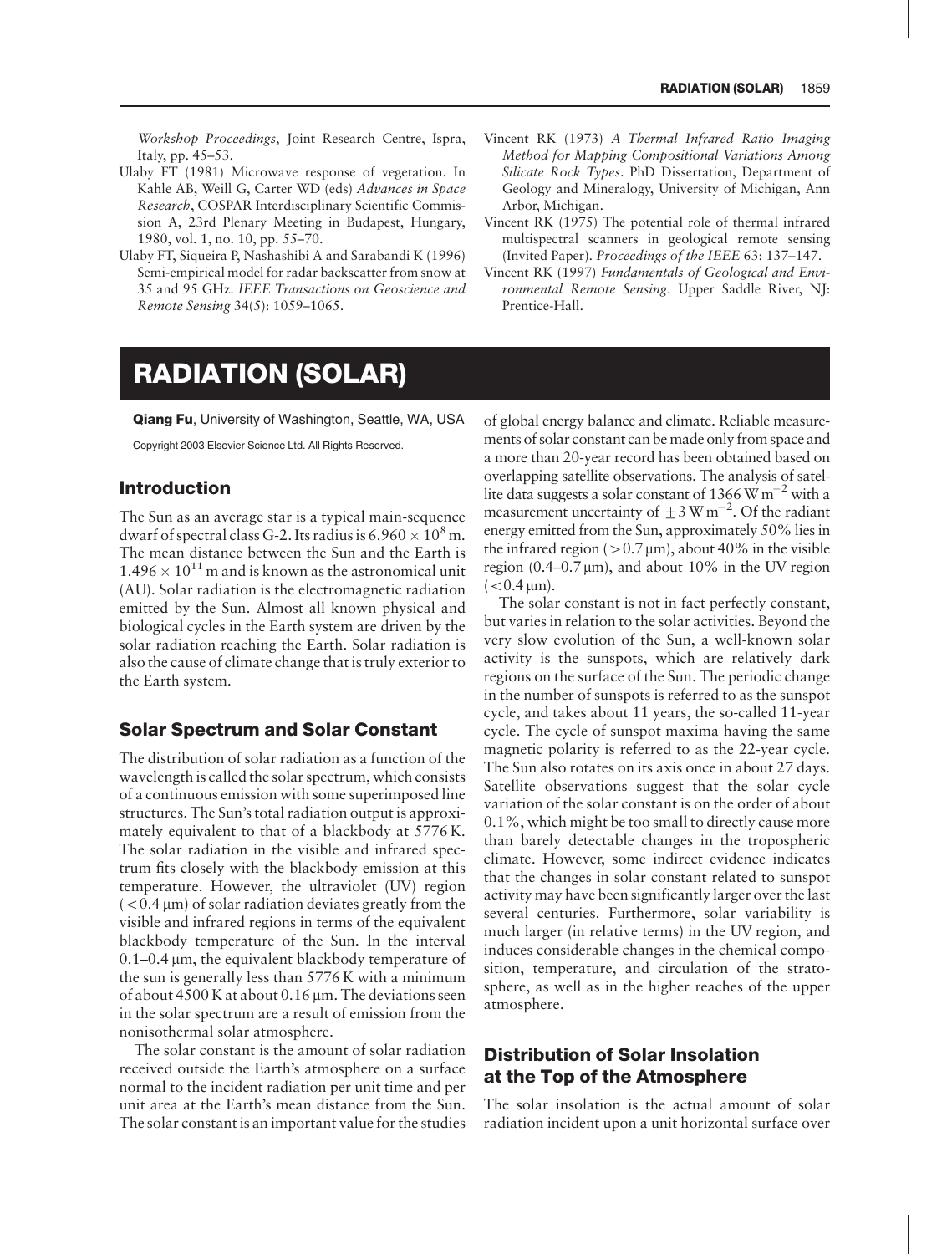Workshop Proceedings, Joint Research Centre, Ispra, Italy, pp. 45–53.

- Ulaby FT (1981) Microwave response of vegetation. In Kahle AB, Weill G, Carter WD (eds) Advances in Space Research, COSPAR Interdisciplinary Scientific Commission A, 23rd Plenary Meeting in Budapest, Hungary, 1980, vol. 1, no. 10, pp. 55–70.
- Ulaby FT, Siqueira P, Nashashibi A and Sarabandi K (1996) Semi-empirical model for radar backscatter from snow at 35 and 95 GHz. IEEE Transactions on Geoscience and Remote Sensing 34(5): 1059–1065.
- Vincent RK (1973) A Thermal Infrared Ratio Imaging Method for Mapping Compositional Variations Among Silicate Rock Types. PhD Dissertation, Department of Geology and Mineralogy, University of Michigan, Ann Arbor, Michigan.
- Vincent RK (1975) The potential role of thermal infrared multispectral scanners in geological remote sensing (Invited Paper). Proceedings of the IEEE 63: 137–147.
- Vincent RK (1997) Fundamentals of Geological and Environmental Remote Sensing. Upper Saddle River, NJ: Prentice-Hall.

# RADIATION (SOLAR)

Qiang Fu, University of Washington, Seattle, WA, USA

Copyright 2003 Elsevier Science Ltd. All Rights Reserved.

## Introduction

The Sun as an average star is a typical main-sequence dwarf of spectral class G-2. Its radius is  $6.960 \times 10^8$  m. The mean distance between the Sun and the Earth is  $1.496 \times 10^{11}$  m and is known as the astronomical unit (AU). Solar radiation is the electromagnetic radiation emitted by the Sun. Almost all known physical and biological cycles in the Earth system are driven by the solar radiation reaching the Earth. Solar radiation is also the cause of climate change that is truly exterior to the Earth system.

## Solar Spectrum and Solar Constant

The distribution of solar radiation as a function of the wavelength is called the solar spectrum, which consists of a continuous emission with some superimposed line structures. The Sun's total radiation output is approximately equivalent to that of a blackbody at 5776 K. The solar radiation in the visible and infrared spectrum fits closely with the blackbody emission at this temperature. However, the ultraviolet (UV) region  $(< 0.4 \,\mu m$ ) of solar radiation deviates greatly from the visible and infrared regions in terms of the equivalent blackbody temperature of the Sun. In the interval  $0.1-0.4 \mu m$ , the equivalent blackbody temperature of the sun is generally less than 5776 K with a minimum of about 4500 K at about 0.16 µm. The deviations seen in the solar spectrum are a result of emission from the nonisothermal solar atmosphere.

The solar constant is the amount of solar radiation received outside the Earth's atmosphere on a surface normal to the incident radiation per unit time and per unit area at the Earth's mean distance from the Sun. The solar constant is an important value for the studies

of global energy balance and climate. Reliable measurements of solar constant can be made only from space and a more than 20-year record has been obtained based on overlapping satellite observations. The analysis of satellite data suggests a solar constant of 1366  $\rm W\,m^{-2}$  with a measurement uncertainty of  $\pm 3 \text{ W m}^{-2}$ . Of the radiant energy emitted from the Sun, approximately 50% lies in the infrared region ( $> 0.7 \mu m$ ), about 40% in the visible region  $(0.4-0.7 \,\mu\text{m})$ , and about 10% in the UV region  $(< 0.4 \,\mathrm{\mu m})$ .

The solar constant is not in fact perfectly constant, but varies in relation to the solar activities. Beyond the very slow evolution of the Sun, a well-known solar activity is the sunspots, which are relatively dark regions on the surface of the Sun. The periodic change in the number of sunspots is referred to as the sunspot cycle, and takes about 11 years, the so-called 11-year cycle. The cycle of sunspot maxima having the same magnetic polarity is referred to as the 22-year cycle. The Sun also rotates on its axis once in about 27 days. Satellite observations suggest that the solar cycle variation of the solar constant is on the order of about 0.1%, which might be too small to directly cause more than barely detectable changes in the tropospheric climate. However, some indirect evidence indicates that the changes in solar constant related to sunspot activity may have been significantly larger over the last several centuries. Furthermore, solar variability is much larger (in relative terms) in the UV region, and induces considerable changes in the chemical composition, temperature, and circulation of the stratosphere, as well as in the higher reaches of the upper atmosphere.

## Distribution of Solar Insolation at the Top of the Atmosphere

The solar insolation is the actual amount of solar radiation incident upon a unit horizontal surface over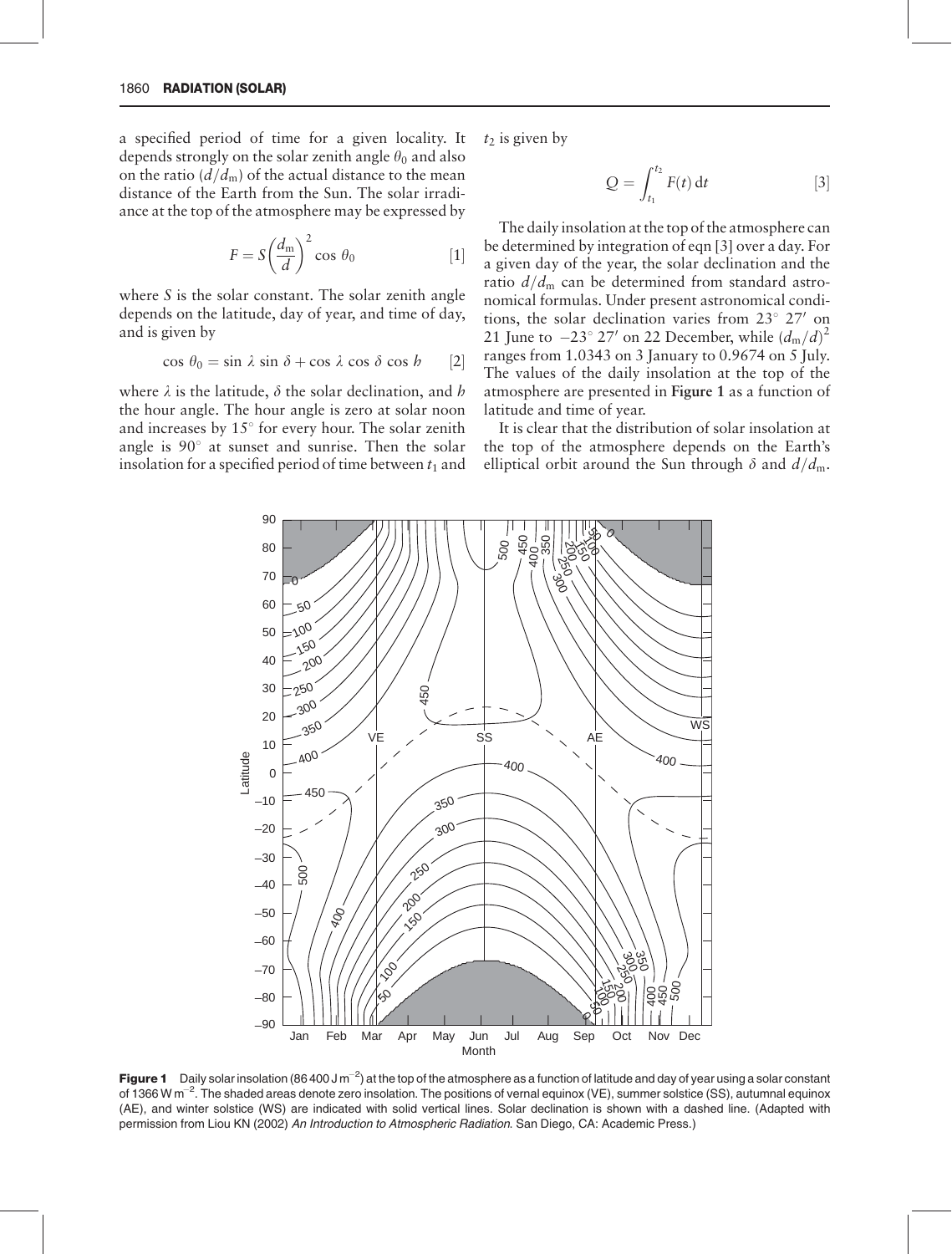a specified period of time for a given locality. It depends strongly on the solar zenith angle  $\theta_0$  and also on the ratio  $(d/d<sub>m</sub>)$  of the actual distance to the mean distance of the Earth from the Sun. The solar irradiance at the top of the atmosphere may be expressed by

$$
F = S \left(\frac{d_{\rm m}}{d}\right)^2 \cos \theta_0 \tag{1}
$$

where  $S$  is the solar constant. The solar zenith angle depends on the latitude, day of year, and time of day, and is given by

$$
\cos \theta_0 = \sin \lambda \sin \delta + \cos \lambda \cos \delta \cos h \qquad [2]
$$

where  $\lambda$  is the latitude,  $\delta$  the solar declination, and h the hour angle. The hour angle is zero at solar noon and increases by  $15^{\circ}$  for every hour. The solar zenith angle is  $90^\circ$  at sunset and sunrise. Then the solar insolation for a specified period of time between  $t_1$  and  $t_2$  is given by

$$
Q = \int_{t_1}^{t_2} F(t) dt
$$
 [3]

The daily insolation at the top of the atmosphere can be determined by integration of eqn [3] over a day. For a given day of the year, the solar declination and the ratio  $d/d<sub>m</sub>$  can be determined from standard astronomical formulas. Under present astronomical conditions, the solar declination varies from  $23^{\circ}$  27' on 21 June to  $-23^{\circ}$  27' on 22 December, while  $(d_{\text{m}}/d)^2$ ranges from 1.0343 on 3 January to 0.9674 on 5 July. The values of the daily insolation at the top of the atmosphere are presented in Figure 1 as a function of latitude and time of year.

It is clear that the distribution of solar insolation at the top of the atmosphere depends on the Earth's elliptical orbit around the Sun through  $\delta$  and  $d/d_{\rm m}$ .



Figure 1 Daily solar insolation (86 400 J m<sup>-2</sup>) at the top of the atmosphere as a function of latitude and day of year using a solar constant of 1366 W m<sup>-2</sup>. The shaded areas denote zero insolation. The positions of vernal equinox (VE), summer solstice (SS), autumnal equinox (AE), and winter solstice (WS) are indicated with solid vertical lines. Solar declination is shown with a dashed line. (Adapted with permission from Liou KN (2002) An Introduction to Atmospheric Radiation. San Diego, CA: Academic Press.)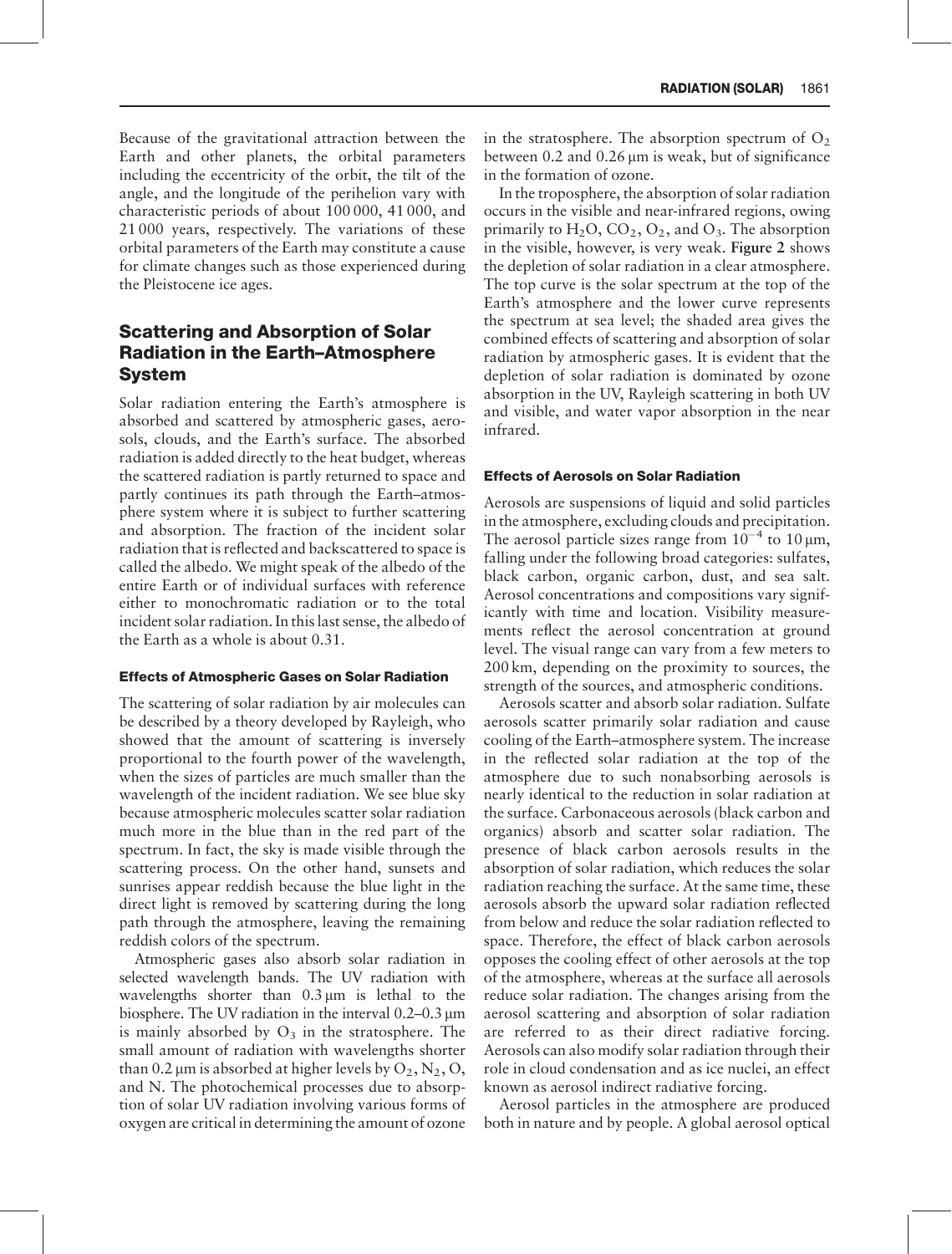Because of the gravitational attraction between the Earth and other planets, the orbital parameters including the eccentricity of the orbit, the tilt of the angle, and the longitude of the perihelion vary with characteristic periods of about 100 000, 41 000, and 21 000 years, respectively. The variations of these orbital parameters of the Earth may constitute a cause for climate changes such as those experienced during the Pleistocene ice ages.

# Scattering and Absorption of Solar Radiation in the Earth–Atmosphere System

Solar radiation entering the Earth's atmosphere is absorbed and scattered by atmospheric gases, aerosols, clouds, and the Earth's surface. The absorbed radiation is added directly to the heat budget, whereas the scattered radiation is partly returned to space and partly continues its path through the Earth–atmosphere system where it is subject to further scattering and absorption. The fraction of the incident solar radiation that is reflected and backscattered to space is called the albedo. We might speak of the albedo of the entire Earth or of individual surfaces with reference either to monochromatic radiation or to the total incident solar radiation. In this last sense, the albedo of the Earth as a whole is about 0.31.

#### Effects of Atmospheric Gases on Solar Radiation

The scattering of solar radiation by air molecules can be described by a theory developed by Rayleigh, who showed that the amount of scattering is inversely proportional to the fourth power of the wavelength, when the sizes of particles are much smaller than the wavelength of the incident radiation. We see blue sky because atmospheric molecules scatter solar radiation much more in the blue than in the red part of the spectrum. In fact, the sky is made visible through the scattering process. On the other hand, sunsets and sunrises appear reddish because the blue light in the direct light is removed by scattering during the long path through the atmosphere, leaving the remaining reddish colors of the spectrum.

Atmospheric gases also absorb solar radiation in selected wavelength bands. The UV radiation with wavelengths shorter than  $0.3 \mu m$  is lethal to the biosphere. The UV radiation in the interval  $0.2-0.3 \,\mu m$ is mainly absorbed by  $O_3$  in the stratosphere. The small amount of radiation with wavelengths shorter than 0.2  $\mu$ m is absorbed at higher levels by  $O_2$ ,  $N_2$ ,  $O$ , and N. The photochemical processes due to absorption of solar UV radiation involving various forms of oxygen are critical in determining the amount of ozone

in the stratosphere. The absorption spectrum of  $O<sub>2</sub>$ between  $0.2$  and  $0.26 \mu m$  is weak, but of significance in the formation of ozone.

In the troposphere, the absorption of solar radiation occurs in the visible and near-infrared regions, owing primarily to  $H_2O$ ,  $CO_2$ ,  $O_2$ , and  $O_3$ . The absorption in the visible, however, is very weak. Figure 2 shows the depletion of solar radiation in a clear atmosphere. The top curve is the solar spectrum at the top of the Earth's atmosphere and the lower curve represents the spectrum at sea level; the shaded area gives the combined effects of scattering and absorption of solar radiation by atmospheric gases. It is evident that the depletion of solar radiation is dominated by ozone absorption in the UV, Rayleigh scattering in both UV and visible, and water vapor absorption in the near infrared.

#### Effects of Aerosols on Solar Radiation

Aerosols are suspensions of liquid and solid particles in the atmosphere, excluding clouds and precipitation. The aerosol particle sizes range from  $10^{-4}$  to  $10 \,\mu\text{m}$ , falling under the following broad categories: sulfates, black carbon, organic carbon, dust, and sea salt. Aerosol concentrations and compositions vary significantly with time and location. Visibility measurements reflect the aerosol concentration at ground level. The visual range can vary from a few meters to 200 km, depending on the proximity to sources, the strength of the sources, and atmospheric conditions.

Aerosols scatter and absorb solar radiation. Sulfate aerosols scatter primarily solar radiation and cause cooling of the Earth–atmosphere system. The increase in the reflected solar radiation at the top of the atmosphere due to such nonabsorbing aerosols is nearly identical to the reduction in solar radiation at the surface. Carbonaceous aerosols (black carbon and organics) absorb and scatter solar radiation. The presence of black carbon aerosols results in the absorption of solar radiation, which reduces the solar radiation reaching the surface. At the same time, these aerosols absorb the upward solar radiation reflected from below and reduce the solar radiation reflected to space. Therefore, the effect of black carbon aerosols opposes the cooling effect of other aerosols at the top of the atmosphere, whereas at the surface all aerosols reduce solar radiation. The changes arising from the aerosol scattering and absorption of solar radiation are referred to as their direct radiative forcing. Aerosols can also modify solar radiation through their role in cloud condensation and as ice nuclei, an effect known as aerosol indirect radiative forcing.

Aerosol particles in the atmosphere are produced both in nature and by people. A global aerosol optical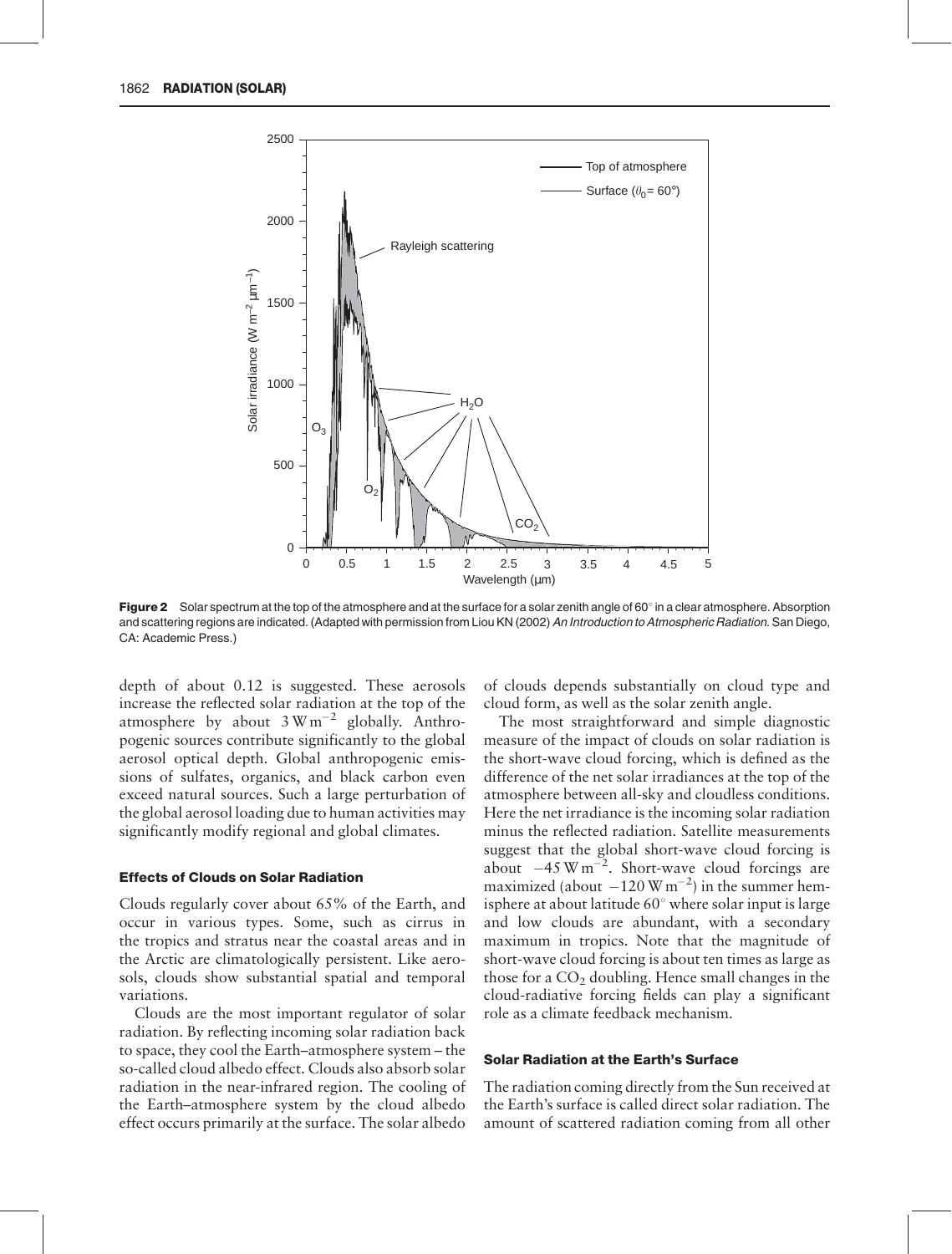

Figure 2 Solar spectrum at the top of the atmosphere and at the surface for a solar zenith angle of 60° in a clear atmosphere. Absorption and scattering regions are indicated. (Adapted with permission from Liou KN (2002) An Introduction to Atmospheric Radiation. San Diego, CA: Academic Press.)

depth of about 0.12 is suggested. These aerosols increase the reflected solar radiation at the top of the atmosphere by about  $3 \text{ W m}^{-2}$  globally. Anthropogenic sources contribute significantly to the global aerosol optical depth. Global anthropogenic emissions of sulfates, organics, and black carbon even exceed natural sources. Such a large perturbation of the global aerosol loading due to human activities may significantly modify regional and global climates.

#### Effects of Clouds on Solar Radiation

Clouds regularly cover about 65% of the Earth, and occur in various types. Some, such as cirrus in the tropics and stratus near the coastal areas and in the Arctic are climatologically persistent. Like aerosols, clouds show substantial spatial and temporal variations.

Clouds are the most important regulator of solar radiation. By reflecting incoming solar radiation back to space, they cool the Earth–atmosphere system – the so-called cloud albedo effect. Clouds also absorb solar radiation in the near-infrared region. The cooling of the Earth–atmosphere system by the cloud albedo effect occurs primarily at the surface. The solar albedo

of clouds depends substantially on cloud type and cloud form, as well as the solar zenith angle.

The most straightforward and simple diagnostic measure of the impact of clouds on solar radiation is the short-wave cloud forcing, which is defined as the difference of the net solar irradiances at the top of the atmosphere between all-sky and cloudless conditions. Here the net irradiance is the incoming solar radiation minus the reflected radiation. Satellite measurements suggest that the global short-wave cloud forcing is about  $-45 \text{ W m}^{-2}$ . Short-wave cloud forcings are maximized (about  $-120 \text{ W m}^{-2}$ ) in the summer hemisphere at about latitude  $60^{\circ}$  where solar input is large and low clouds are abundant, with a secondary maximum in tropics. Note that the magnitude of short-wave cloud forcing is about ten times as large as those for a  $CO<sub>2</sub>$  doubling. Hence small changes in the cloud-radiative forcing fields can play a significant role as a climate feedback mechanism.

#### Solar Radiation at the Earth's Surface

The radiation coming directly from the Sun received at the Earth's surface is called direct solar radiation. The amount of scattered radiation coming from all other